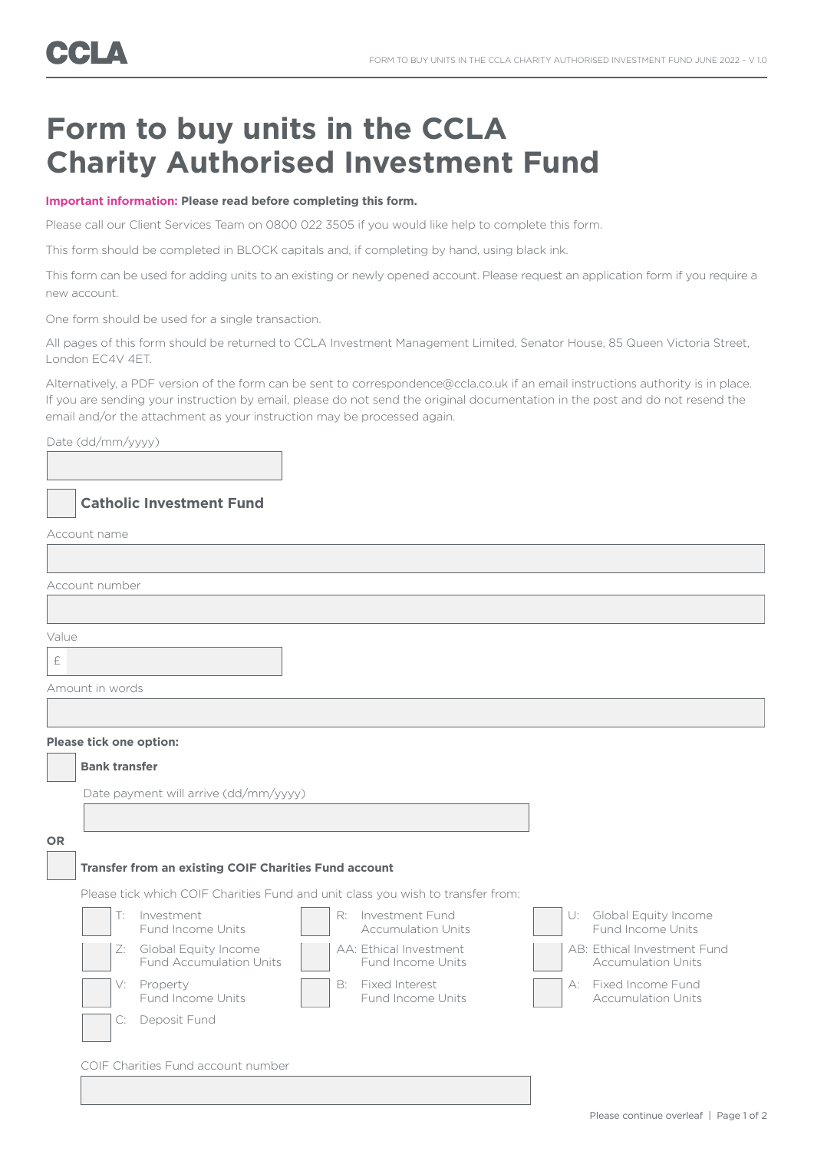# **Form to buy units in the CCLA Charity Authorised Investment Fund**

### **Important information: Please read before completing this form.**

Please call our Client Services Team on 0800 022 3505 if you would like help to complete this form.

This form should be completed in BLOCK capitals and, if completing by hand, using black ink.

This form can be used for adding units to an existing or newly opened account. Please request an application form if you require a new account.

One form should be used for a single transaction.

All pages of this form should be returned to CCLA Investment Management Limited, Senator House, 85 Queen Victoria Street, London EC4V 4ET.

Alternatively, a PDF version of the form can be sent to correspondence@ccla.co.uk if an email instructions authority is in place. If you are sending your instruction by email, please do not send the original documentation in the post and do not resend the email and/or the attachment as your instruction may be processed again.

## Date (dd/mm/yyyy)

## **Catholic Investment Fund**

Account name

|           | Account number                                               |                                                                                 |                                                          |
|-----------|--------------------------------------------------------------|---------------------------------------------------------------------------------|----------------------------------------------------------|
|           |                                                              |                                                                                 |                                                          |
| Value     |                                                              |                                                                                 |                                                          |
| $\pounds$ |                                                              |                                                                                 |                                                          |
|           | Amount in words                                              |                                                                                 |                                                          |
|           |                                                              |                                                                                 |                                                          |
|           | Please tick one option:                                      |                                                                                 |                                                          |
|           | <b>Bank transfer</b>                                         |                                                                                 |                                                          |
|           | Date payment will arrive (dd/mm/yyyy)                        |                                                                                 |                                                          |
|           |                                                              |                                                                                 |                                                          |
| <b>OR</b> |                                                              |                                                                                 |                                                          |
|           | Transfer from an existing COIF Charities Fund account        |                                                                                 |                                                          |
|           |                                                              | Please tick which COIF Charities Fund and unit class you wish to transfer from: |                                                          |
|           | Investment<br>T:<br>Fund Income Units                        | Investment Fund<br>R:<br><b>Accumulation Units</b>                              | U: Global Equity Income<br>Fund Income Units             |
|           | Global Equity Income<br>Z:<br><b>Fund Accumulation Units</b> | AA: Ethical Investment<br>Fund Income Units                                     | AB: Ethical Investment Fund<br><b>Accumulation Units</b> |
|           | Property<br>V:<br>Fund Income Units                          | B: Fixed Interest<br>Fund Income Units                                          | A: Fixed Income Fund<br><b>Accumulation Units</b>        |
|           | Deposit Fund<br>C:                                           |                                                                                 |                                                          |
|           | COIF Charities Fund account number                           |                                                                                 |                                                          |